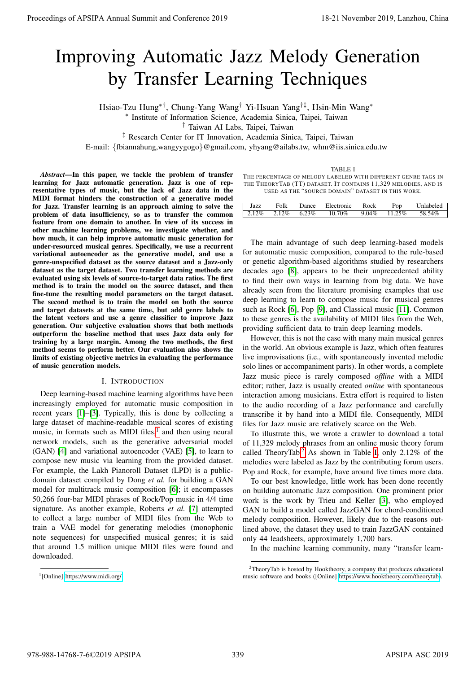# Improving Automatic Jazz Melody Generation by Transfer Learning Techniques

Hsiao-Tzu Hung∗†, Chung-Yang Wang† Yi-Hsuan Yang†‡, Hsin-Min Wang<sup>∗</sup>

∗ Institute of Information Science, Academia Sinica, Taipei, Taiwan

† Taiwan AI Labs, Taipei, Taiwan

‡ Research Center for IT Innovation, Academia Sinica, Taipei, Taiwan

E-mail: {fbiannahung,wangyygogo}@gmail.com, yhyang@ailabs.tw, whm@iis.sinica.edu.tw

*Abstract*—In this paper, we tackle the problem of transfer learning for Jazz automatic generation. Jazz is one of representative types of music, but the lack of Jazz data in the MIDI format hinders the construction of a generative model for Jazz. Transfer learning is an approach aiming to solve the problem of data insufficiency, so as to transfer the common feature from one domain to another. In view of its success in other machine learning problems, we investigate whether, and how much, it can help improve automatic music generation for under-resourced musical genres. Specifically, we use a recurrent variational autoencoder as the generative model, and use a genre-unspecified dataset as the source dataset and a Jazz-only dataset as the target dataset. Two transfer learning methods are evaluated using six levels of source-to-target data ratios. The first method is to train the model on the source dataset, and then fine-tune the resulting model parameters on the target dataset. The second method is to train the model on both the source and target datasets at the same time, but add genre labels to the latent vectors and use a genre classifier to improve Jazz generation. Our subjective evaluation shows that both methods outperform the baseline method that uses Jazz data only for training by a large margin. Among the two methods, the first method seems to perform better. Our evaluation also shows the limits of existing objective metrics in evaluating the performance of music generation models. **Proceedings of APSIPA Annual Summit at China 978-988-14788**<br> **Example 2019 Conference 2019 Conference 2019 Conference 2019 Conference 2019 Conference 2019 Conference 2019 Conference 2019 Conference 2019**

## I. INTRODUCTION

Deep learning-based machine learning algorithms have been increasingly employed for automatic music composition in recent years [1]–[3]. Typically, this is done by collecting a large dataset of machine-readable musical scores of existing music, in formats such as MIDI files, $<sup>1</sup>$  and then using neural</sup> network models, such as the generative adversarial model (GAN) [4] and variational autoencoder (VAE) [5], to learn to compose new music via learning from the provided dataset. For example, the Lakh Pianoroll Dataset (LPD) is a publicdomain dataset compiled by Dong *et al.* for building a GAN model for multitrack music composition [6]; it encompasses 50,266 four-bar MIDI phrases of Rock/Pop music in 4/4 time signature. As another example, Roberts *et al.* [7] attempted to collect a large number of MIDI files from the Web to train a VAE model for generating melodies (monophonic note sequences) for unspecified musical genres; it is said that around 1.5 million unique MIDI files were found and downloaded.

TABLE I THE PERCENTAGE OF MELODY LABELED WITH DIFFERENT GENRE TAGS IN THE THEORYTAB (TT) DATASET. IT CONTAINS 11,329 MELODIES, AND IS USED AS THE "SOURCE DOMAIN" DATASET IN THIS WORK.

| Jazz. | Folk | Dance | Electronic                                                | Rock | Pop | Unlabeled |
|-------|------|-------|-----------------------------------------------------------|------|-----|-----------|
|       |      |       | $\frac{1}{2.12\%}$ 2.12% 6.23% 10.70% 9.04% 11.25% 58.54% |      |     |           |

The main advantage of such deep learning-based models for automatic music composition, compared to the rule-based or genetic algorithm-based algorithms studied by researchers decades ago [8], appears to be their unprecedented ability to find their own ways in learning from big data. We have already seen from the literature promising examples that use deep learning to learn to compose music for musical genres such as Rock [6], Pop [9], and Classical music [11]. Common to these genres is the availability of MIDI files from the Web, providing sufficient data to train deep learning models.

However, this is not the case with many main musical genres in the world. An obvious example is Jazz, which often features live improvisations (i.e., with spontaneously invented melodic solo lines or accompaniment parts). In other words, a complete Jazz music piece is rarely composed *offline* with a MIDI editor; rather, Jazz is usually created *online* with spontaneous interaction among musicians. Extra effort is required to listen to the audio recording of a Jazz performance and carefully transcribe it by hand into a MIDI file. Consequently, MIDI files for Jazz music are relatively scarce on the Web.

To illustrate this, we wrote a crawler to download a total of 11,329 melody phrases from an online music theory forum called TheoryTab.<sup>2</sup> As shown in Table I, only 2.12% of the melodies were labeled as Jazz by the contributing forum users. Pop and Rock, for example, have around five times more data.

To our best knowledge, little work has been done recently on building automatic Jazz composition. One prominent prior work is the work by Trieu and Keller [3], who employed GAN to build a model called JazzGAN for chord-conditioned melody composition. However, likely due to the reasons outlined above, the dataset they used to train JazzGAN contained only 44 leadsheets, approximately 1,700 bars.

In the machine learning community, many "transfer learn-

<sup>1</sup> [Online] https://www.midi.org/

<sup>2</sup>TheoryTab is hosted by Hooktheory, a company that produces educational music software and books ([Online] https://www.hooktheory.com/theorytab).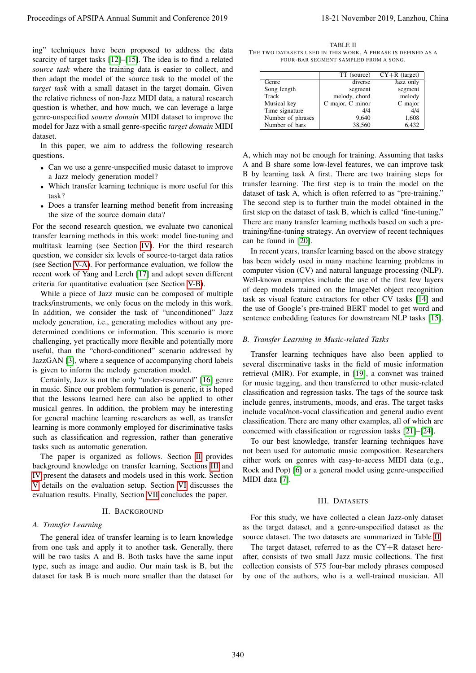ing" techniques have been proposed to address the data scarcity of target tasks [12]–[15]. The idea is to find a related *source task* where the training data is easier to collect, and then adapt the model of the source task to the model of the *target task* with a small dataset in the target domain. Given the relative richness of non-Jazz MIDI data, a natural research question is whether, and how much, we can leverage a large genre-unspecified *source domain* MIDI dataset to improve the model for Jazz with a small genre-specific *target domain* MIDI dataset. Proceedings of APSIPA Annual Summit at China 2019, and the summit and conference 2019 18-21 November 2019, a conference 2019 18-21 November 2019, a conference 2019 18-21 November 2019 18-21 November 2019, a conference 201

In this paper, we aim to address the following research questions.

- Can we use a genre-unspecified music dataset to improve a Jazz melody generation model?
- Which transfer learning technique is more useful for this task?
- Does a transfer learning method benefit from increasing the size of the source domain data?

For the second research question, we evaluate two canonical transfer learning methods in this work: model fine-tuning and multitask learning (see Section IV). For the third research question, we consider six levels of source-to-target data ratios (see Section V-A). For performance evaluation, we follow the recent work of Yang and Lerch [17] and adopt seven different criteria for quantitative evaluation (see Section V-B).

While a piece of Jazz music can be composed of multiple tracks/instruments, we only focus on the melody in this work. In addition, we consider the task of "unconditioned" Jazz melody generation, i.e., generating melodies without any predetermined conditions or information. This scenario is more challenging, yet practically more flexible and potentially more useful, than the "chord-conditioned" scenario addressed by JazzGAN [3], where a sequence of accompanying chord labels is given to inform the melody generation model.

Certainly, Jazz is not the only "under-resourced" [16] genre in music. Since our problem formulation is generic, it is hoped that the lessons learned here can also be applied to other musical genres. In addition, the problem may be interesting for general machine learning researchers as well, as transfer learning is more commonly employed for discriminative tasks such as classification and regression, rather than generative tasks such as automatic generation.

The paper is organized as follows. Section II provides background knowledge on transfer learning. Sections III and IV present the datasets and models used in this work. Section V details on the evaluation setup. Section VI discusses the evaluation results. Finally, Section VII concludes the paper.

## II. BACKGROUND

# *A. Transfer Learning*

The general idea of transfer learning is to learn knowledge from one task and apply it to another task. Generally, there will be two tasks A and B. Both tasks have the same input type, such as image and audio. Our main task is B, but the dataset for task B is much more smaller than the dataset for

TABLE II THE TWO DATASETS USED IN THIS WORK. A PHRASE IS DEFINED AS A FOUR-BAR SEGMENT SAMPLED FROM A SONG.

|                   | TT (source)      | $CY+R$ (target) |
|-------------------|------------------|-----------------|
| Genre             | diverse          | Jazz only       |
| Song length       | segment          | segment         |
| Track             | melody, chord    | melody          |
| Musical key       | C major, C minor | C major         |
| Time signature    | 4/4              | 4/4             |
| Number of phrases | 9,640            | 1,608           |
| Number of bars    | 38,560           | 6.432           |

A, which may not be enough for training. Assuming that tasks A and B share some low-level features, we can improve task B by learning task A first. There are two training steps for transfer learning. The first step is to train the model on the dataset of task A, which is often referred to as "pre-training." The second step is to further train the model obtained in the first step on the dataset of task B, which is called 'fine-tuning." There are many transfer learning methods based on such a pretraining/fine-tuning strategy. An overview of recent techniques can be found in [20].

In recent years, transfer learning based on the above strategy has been widely used in many machine learning problems in computer vision (CV) and natural language processing (NLP). Well-known examples include the use of the first few layers of deep models trained on the ImageNet object recognition task as visual feature extractors for other CV tasks [14] and the use of Google's pre-trained BERT model to get word and sentence embedding features for downstream NLP tasks [15].

## *B. Transfer Learning in Music-related Tasks*

Transfer learning techniques have also been applied to several discrminative tasks in the field of music information retrieval (MIR). For example, in [19], a convnet was trained for music tagging, and then transferred to other music-related classification and regression tasks. The tags of the source task include genres, instruments, moods, and eras. The target tasks include vocal/non-vocal classification and general audio event classification. There are many other examples, all of which are concerned with classification or regression tasks [21]–[24].

To our best knowledge, transfer learning techniques have not been used for automatic music composition. Researchers either work on genres with easy-to-access MIDI data (e.g., Rock and Pop) [6] or a general model using genre-unspecified MIDI data [7].

# III. DATASETS

For this study, we have collected a clean Jazz-only dataset as the target dataset, and a genre-unspecified dataset as the source dataset. The two datasets are summarized in Table II.

The target dataset, referred to as the  $CY+R$  dataset hereafter, consists of two small Jazz music collections. The first collection consists of 575 four-bar melody phrases composed by one of the authors, who is a well-trained musician. All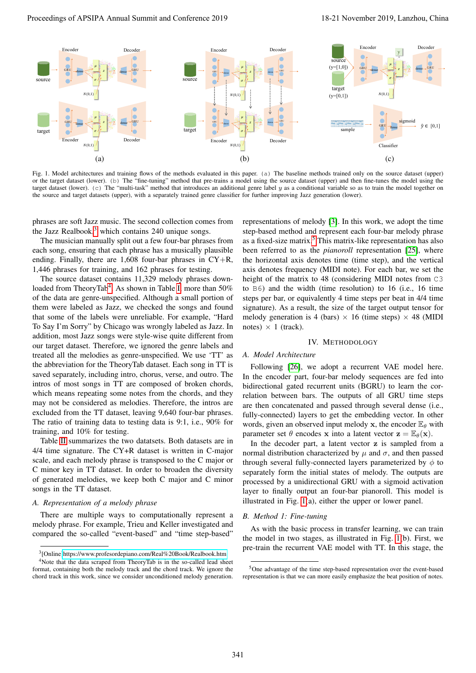

Fig. 1. Model architectures and training flows of the methods evaluated in this paper. (a) The baseline methods trained only on the source dataset (upper) or the target dataset (lower). (b) The "fine-tuning" method that pre-trains a model using the source dataset (upper) and then fine-tunes the model using the target dataset (lower). (c) The "multi-task" method that introduces an additional genre label y as a conditional variable so as to train the model together on the source and target datasets (upper), with a separately trained genre classifier for further improving Jazz generation (lower).

phrases are soft Jazz music. The second collection comes from the Jazz Realbook, $3$  which contains 240 unique songs.

The musician manually split out a few four-bar phrases from each song, ensuring that each phrase has a musically plausible ending. Finally, there are  $1,608$  four-bar phrases in CY+R, 1,446 phrases for training, and 162 phrases for testing.

The source dataset contains 11,329 melody phrases downloaded from TheoryTab<sup>4</sup>. As shown in Table I, more than 50% of the data are genre-unspecified. Although a small portion of them were labeled as Jazz, we checked the songs and found that some of the labels were unreliable. For example, "Hard To Say I'm Sorry" by Chicago was wrongly labeled as Jazz. In addition, most Jazz songs were style-wise quite different from our target dataset. Therefore, we ignored the genre labels and treated all the melodies as genre-unspecified. We use 'TT' as the abbreviation for the TheoryTab dataset. Each song in TT is saved separately, including intro, chorus, verse, and outro. The intros of most songs in TT are composed of broken chords, which means repeating some notes from the chords, and they may not be considered as melodies. Therefore, the intros are excluded from the TT dataset, leaving 9,640 four-bar phrases. The ratio of training data to testing data is 9:1, i.e., 90% for training, and 10% for testing.

Table II summarizes the two datatsets. Both datasets are in 4/4 time signature. The CY+R dataset is written in C-major scale, and each melody phrase is transposed to the C major or C minor key in TT dataset. In order to broaden the diversity of generated melodies, we keep both C major and C minor songs in the TT dataset.

## *A. Representation of a melody phrase*

There are multiple ways to computationally represent a melody phrase. For example, Trieu and Keller investigated and compared the so-called "event-based" and "time step-based"

representations of melody [3]. In this work, we adopt the time step-based method and represent each four-bar melody phrase as a fixed-size matrix.<sup>5</sup> This matrix-like representation has also been referred to as the *pianoroll* representation [25], where the horizontal axis denotes time (time step), and the vertical axis denotes frequency (MIDI note). For each bar, we set the height of the matrix to 48 (considering MIDI notes from C3 to B6) and the width (time resolution) to 16 (i.e., 16 time steps per bar, or equivalently 4 time steps per beat in 4/4 time signature). As a result, the size of the target output tensor for melody generation is 4 (bars)  $\times$  16 (time steps)  $\times$  48 (MIDI notes)  $\times$  1 (track).

#### IV. METHODOLOGY

## *A. Model Architecture*

Following [26], we adopt a recurrent VAE model here. In the encoder part, four-bar melody sequences are fed into bidirectional gated recurrent units (BGRU) to learn the correlation between bars. The outputs of all GRU time steps are then concatenated and passed through several dense (i.e., fully-connected) layers to get the embedding vector. In other words, given an observed input melody x, the encoder  $\mathbb{E}_{\theta}$  with parameter set  $\theta$  encodes x into a latent vector  $\mathbf{z} = \mathbb{E}_{\theta}(\mathbf{x})$ .

In the decoder part, a latent vector z is sampled from a normal distribution characterized by  $\mu$  and  $\sigma$ , and then passed through several fully-connected layers parameterized by  $\phi$  to separately form the initial states of melody. The outputs are processed by a unidirectional GRU with a sigmoid activation layer to finally output an four-bar pianoroll. This model is illustrated in Fig. 1(a), either the upper or lower panel.

## *B. Method 1: Fine-tuning*

As with the basic process in transfer learning, we can train the model in two stages, as illustrated in Fig. 1(b). First, we pre-train the recurrent VAE model with TT. In this stage, the

<sup>3</sup> [Online[\]https://www.profesordepiano.com/Real%20Book/Realbook.htm](https://www.profesordepiano.com/Real%20Book/Realbook.htm)

<sup>4</sup>Note that the data scraped from TheoryTab is in the so-called lead sheet format, containing both the melody track and the chord track. We ignore the chord track in this work, since we consider unconditioned melody generation.

<sup>5</sup>One advantage of the time step-based representation over the event-based representation is that we can more easily emphasize the beat position of notes.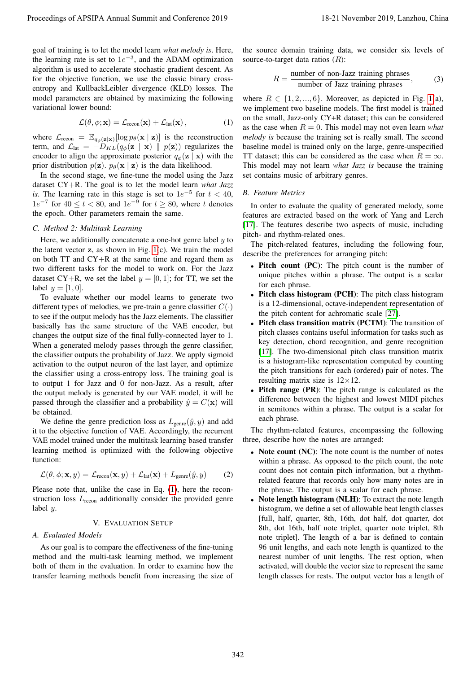goal of training is to let the model learn *what melody is*. Here, the learning rate is set to  $1e^{-3}$ , and the ADAM optimization algorithm is used to accelerate stochastic gradient descent. As for the objective function, we use the classic binary crossentropy and KullbackLeibler divergence (KLD) losses. The model parameters are obtained by maximizing the following variational lower bound:

$$
\mathcal{L}(\theta, \phi; \mathbf{x}) = \mathcal{L}_{recon}(\mathbf{x}) + \mathcal{L}_{lat}(\mathbf{x}), \qquad (1)
$$

where  $\mathcal{L}_{\text{recon}} = \mathbb{E}_{q_{\phi}(\mathbf{z}|\mathbf{x})} [\log p_{\theta}(\mathbf{x} | \mathbf{z})]$  is the reconstruction term, and  $\mathcal{L}_{\text{lat}} = -D_{KL}(q_{\phi}(\mathbf{z} \mid \mathbf{x}) \parallel p(\mathbf{z}))$  regularizes the encoder to align the approximate posterior  $q_{\phi}(\mathbf{z} \mid \mathbf{x})$  with the prior distribution  $p(\mathbf{z})$ .  $p_\theta(\mathbf{x} | \mathbf{z})$  is the data likelihood.

In the second stage, we fine-tune the model using the Jazz dataset CY+R. The goal is to let the model learn *what Jazz is*. The learning rate in this stage is set to  $1e^{-5}$  for  $t < 40$ ,  $1e^{-7}$  for  $40 \le t < 80$ , and  $1e^{-9}$  for  $t \ge 80$ , where t denotes the epoch. Other parameters remain the same.

# *C. Method 2: Multitask Learning*

Here, we additionally concatenate a one-hot genre label  $y$  to the latent vector z, as shown in Fig. 1(c). We train the model on both  $TT$  and  $CY+R$  at the same time and regard them as two different tasks for the model to work on. For the Jazz dataset CY+R, we set the label  $y = [0, 1]$ ; for TT, we set the label  $y = [1, 0]$ .

To evaluate whether our model learns to generate two different types of melodies, we pre-train a genre classifier  $C(\cdot)$ to see if the output melody has the Jazz elements. The classifier basically has the same structure of the VAE encoder, but changes the output size of the final fully-connected layer to 1. When a generated melody passes through the genre classifier, the classifier outputs the probability of Jazz. We apply sigmoid activation to the output neuron of the last layer, and optimize the classifier using a cross-entropy loss. The training goal is to output 1 for Jazz and 0 for non-Jazz. As a result, after the output melody is generated by our VAE model, it will be passed through the classifier and a probability  $\hat{y} = C(\mathbf{x})$  will be obtained. Proceedings of APSIPA Annual Summit at China 2019, China 2019, China 2019, China 2019, China 2019, China 2019, China 2019, China 2019, China 2019, China 2019, China 2019, China 2019, China 2019, China 2019, China 2019, Ch

We define the genre prediction loss as  $L_{\text{generic}}(\hat{y}, y)$  and add it to the objective function of VAE. Accordingly, the recurrent VAE model trained under the multitask learning based transfer learning method is optimized with the following objective function:

$$
\mathcal{L}(\theta, \phi; \mathbf{x}, y) = \mathcal{L}_{\text{recon}}(\mathbf{x}, y) + \mathcal{L}_{\text{lat}}(\mathbf{x}) + L_{\text{generic}}(\hat{y}, y) \tag{2}
$$

Please note that, unlike the case in Eq. (1), here the reconstruction loss  $L_{\text{recon}}$  additionally consider the provided genre label y.

# V. EVALUATION SETUP

# *A. Evaluated Models*

As our goal is to compare the effectiveness of the fine-tuning method and the multi-task learning method, we implement both of them in the evaluation. In order to examine how the transfer learning methods benefit from increasing the size of the source domain training data, we consider six levels of source-to-target data ratios  $(R)$ :

$$
R = \frac{\text{number of non-Jazz training phrases}}{\text{number of Jazz training phrases}},\tag{3}
$$

where  $R \in \{1, 2, ..., 6\}$ . Moreover, as depicted in Fig. 1(a), we implement two baseline models. The first model is trained on the small, Jazz-only CY+R dataset; this can be considered as the case when  $R = 0$ . This model may not even learn *what melody is* because the training set is really small. The second baseline model is trained only on the large, genre-unspecified TT dataset; this can be considered as the case when  $R = \infty$ . This model may not learn *what Jazz is* because the training set contains music of arbitrary genres.

# *B. Feature Metrics*

In order to evaluate the quality of generated melody, some features are extracted based on the work of Yang and Lerch [17]. The features describe two aspects of music, including pitch- and rhythm-related ones.

The pitch-related features, including the following four, describe the preferences for arranging pitch:

- Pitch count (PC): The pitch count is the number of unique pitches within a phrase. The output is a scalar for each phrase.
- Pitch class histogram (PCH): The pitch class histogram is a 12-dimensional, octave-independent representation of the pitch content for achromatic scale [27].
- Pitch class transition matrix (PCTM): The transition of pitch classes contains useful information for tasks such as key detection, chord recognition, and genre recognition [17]. The two-dimensional pitch class transition matrix is a histogram-like representation computed by counting the pitch transitions for each (ordered) pair of notes. The resulting matrix size is  $12 \times 12$ .
- Pitch range (PR): The pitch range is calculated as the difference between the highest and lowest MIDI pitches in semitones within a phrase. The output is a scalar for each phrase.

The rhythm-related features, encompassing the following three, describe how the notes are arranged:

- Note count (NC): The note count is the number of notes within a phrase. As opposed to the pitch count, the note count does not contain pitch information, but a rhythmrelated feature that records only how many notes are in the phrase. The output is a scalar for each phrase.
- Note length histogram (NLH): To extract the note length histogram, we define a set of allowable beat length classes [full, half, quarter, 8th, 16th, dot half, dot quarter, dot 8th, dot 16th, half note triplet, quarter note triplet, 8th note triplet]. The length of a bar is defined to contain 96 unit lengths, and each note length is quantized to the nearest number of unit lengths. The rest option, when activated, will double the vector size to represent the same length classes for rests. The output vector has a length of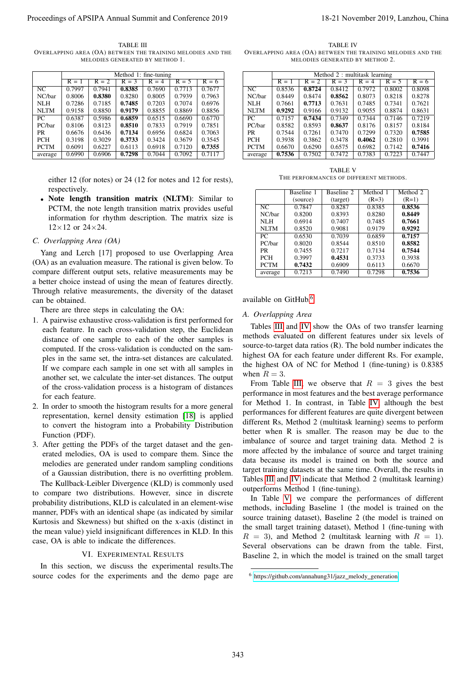TABLE III OVERLAPPING AREA (OA) BETWEEN THE TRAINING MELODIES AND THE MELODIES GENERATED BY METHOD 1.

|             | Method 1: fine-tuning |         |         |         |         |         |
|-------------|-----------------------|---------|---------|---------|---------|---------|
|             | $R = 1$               | $R = 2$ | $R = 3$ | $R = 4$ | $R = 5$ | $R = 6$ |
| NC.         | 0.7997                | 0.7941  | 0.8385  | 0.7690  | 0.7713  | 0.7677  |
| NC/bar      | 0.8006                | 0.8380  | 0.8280  | 0.8005  | 0.7939  | 0.7963  |
| NI H        | 0.7286                | 0.7185  | 0.7485  | 0.7203  | 0.7074  | 0.6976  |
| NLTM        | 0.9158                | 0.8850  | 0.9179  | 0.8855  | 0.8869  | 0.8856  |
| PC.         | 0.6387                | 0.5986  | 0.6859  | 0.6515  | 0.6690  | 0.6770  |
| PC/bar      | 0.8106                | 0.8123  | 0.8510  | 0.7833  | 0.7919  | 0.7851  |
| <b>PR</b>   | 0.6676                | 0.6436  | 0.7134  | 0.6956  | 0.6824  | 0.7063  |
| <b>PCH</b>  | 0.3198                | 0.3029  | 0.3733  | 0.3424  | 0.3679  | 0.3545  |
| <b>PCTM</b> | 0.6091                | 0.6227  | 0.6113  | 0.6918  | 0.7120  | 0.7355  |
| average     | 0.6990                | 0.6906  | 0.7298  | 0.7044  | 0.7092  | 0.7117  |

either 12 (for notes) or 24 (12 for notes and 12 for rests), respectively.

- Note length transition matrix (NLTM): Similar to PCTM, the note length transition matrix provides useful information for rhythm description. The matrix size is 12×12 or 24×24.
- *C. Overlapping Area (OA)*

Yang and Lerch [17] proposed to use Overlapping Area (OA) as an evaluation measure. The rational is given below. To compare different output sets, relative measurements may be a better choice instead of using the mean of features directly. Through relative measurements, the diversity of the dataset can be obtained.

There are three steps in calculating the OA:

- 1. A pairwise exhaustive cross-validation is first performed for each feature. In each cross-validation step, the Euclidean distance of one sample to each of the other samples is computed. If the cross-validation is conducted on the samples in the same set, the intra-set distances are calculated. If we compare each sample in one set with all samples in another set, we calculate the inter-set distances. The output of the cross-validation process is a histogram of distances for each feature.
- 2. In order to smooth the histogram results for a more general representation, kernel density estimation [18] is applied to convert the histogram into a Probability Distribution Function (PDF).
- 3. After getting the PDFs of the target dataset and the generated melodies, OA is used to compare them. Since the melodies are generated under random sampling conditions of a Gaussian distribution, there is no overfitting problem.

The Kullback-Leibler Divergence (KLD) is commonly used to compare two distributions. However, since in discrete probability distributions, KLD is calculated in an element-wise manner, PDFs with an identical shape (as indicated by similar Kurtosis and Skewness) but shifted on the x-axis (distinct in the mean value) yield insignificant differences in KLD. In this case, OA is able to indicate the differences.

## VI. EXPERIMENTAL RESULTS

In this section, we discuss the experimental results.The source codes for the experiments and the demo page are

TABLE IV OVERLAPPING AREA (OA) BETWEEN THE TRAINING MELODIES AND THE MELODIES GENERATED BY METHOD 2.

|             | Method 2 : multitask learning |         |         |         |         |         |
|-------------|-------------------------------|---------|---------|---------|---------|---------|
|             | $R = 1$                       | $R = 2$ | $R = 3$ | $R = 4$ | $R = 5$ | $R = 6$ |
| NC          | 0.8536                        | 0.8724  | 0.8412  | 0.7972  | 0.8002  | 0.8098  |
| NC/bar      | 0.8449                        | 0.8474  | 0.8562  | 0.8073  | 0.8218  | 0.8278  |
| NLH         | 0.7661                        | 0.7713  | 0.7631  | 0.7485  | 0.7341  | 0.7621  |
| <b>NLTM</b> | 0.9292                        | 0.9166  | 0.9132  | 0.9055  | 0.8874  | 0.8631  |
| PC.         | 0.7157                        | 0.7434  | 0.7349  | 0.7344  | 0.7146  | 0.7219  |
| PC/bar      | 0.8582                        | 0.8593  | 0.8637  | 0.8176  | 0.8157  | 0.8184  |
| <b>PR</b>   | 0.7544                        | 0.7261  | 0.7470  | 0.7299  | 0.7320  | 0.7585  |
| <b>PCH</b>  | 0.3938                        | 0.3862  | 0.3478  | 0.4062  | 0.2810  | 0.3991  |
| <b>PCTM</b> | 0.6670                        | 0.6290  | 0.6575  | 0.6982  | 0.7142  | 0.7416  |
| average     | 0.7536                        | 0.7502  | 0.7472  | 0.7383  | 0.7223  | 0.7447  |

TABLE V THE PERFORMANCES OF DIFFERENT METHODS.

|             | Baseline 1 | Baseline 2 | Method 1 | Method 2 |
|-------------|------------|------------|----------|----------|
|             | (source)   | (target)   | $(R=3)$  | $(R=1)$  |
| NC.         | 0.7847     | 0.8287     | 0.8385   | 0.8536   |
| NC/bar      | 0.8200     | 0.8393     | 0.8280   | 0.8449   |
| NLH         | 0.6914     | 0.7407     | 0.7485   | 0.7661   |
| NLTM        | 0.8520     | 0.9081     | 0.9179   | 0.9292   |
| PC.         | 0.6530     | 0.7039     | 0.6859   | 0.7157   |
| PC/bar      | 0.8020     | 0.8544     | 0.8510   | 0.8582   |
| PR          | 0.7455     | 0.7217     | 0.7134   | 0.7544   |
| <b>PCH</b>  | 0.3997     | 0.4531     | 0.3733   | 0.3938   |
| <b>PCTM</b> | 0.7432     | 0.6909     | 0.6113   | 0.6670   |
| average     | 0.7213     | 0.7490     | 0.7298   | 0.7536   |

available on GitHub.<sup>6</sup>

## *A. Overlapping Area*

Tables III and IV show the OAs of two transfer learning methods evaluated on different features under six levels of source-to-target data ratios (R). The bold number indicates the highest OA for each feature under different Rs. For example, the highest OA of NC for Method 1 (fine-tuning) is 0.8385 when  $R = 3$ .

From Table III, we observe that  $R = 3$  gives the best performance in most features and the best average performance for Method 1. In contrast, in Table IV, although the best performances for different features are quite divergent between different Rs, Method 2 (multitask learning) seems to perform better when R is smaller. The reason may be due to the imbalance of source and target training data. Method 2 is more affected by the imbalance of source and target training data because its model is trained on both the source and target training datasets at the same time. Overall, the results in Tables III and IV indicate that Method 2 (multitask learning) outperforms Method 1 (fine-tuning). Proceeding of APSIPA Annual Summit and Conference 2019<br>
The summit and conference 2019 in the summit and conference 2019 in the summit and conference 2019 in the summit and conference 2019 in the summit and conference 201

In Table V, we compare the performances of different methods, including Baseline 1 (the model is trained on the source training dataset), Baseline 2 (the model is trained on the small target training dataset), Method 1 (fine-tuning with  $R = 3$ ), and Method 2 (multitask learning with  $R = 1$ ). Several observations can be drawn from the table. First, Baseline 2, in which the model is trained on the small target

<sup>6</sup> https://github.com/annahung31/jazz melody generation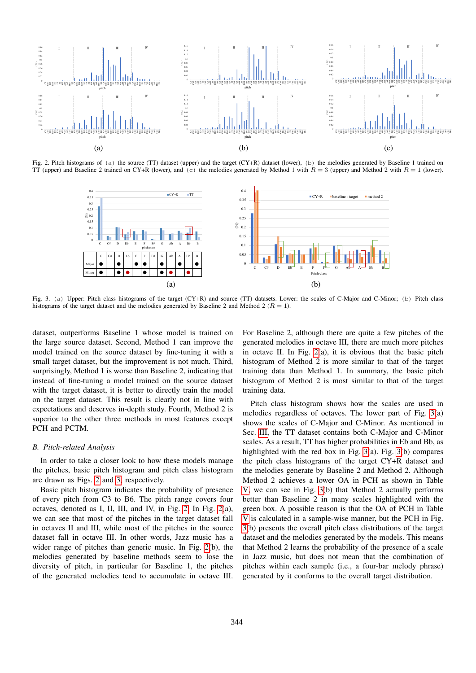

Fig. 2. Pitch histograms of (a) the source (TT) dataset (upper) and the target (CY+R) dataset (lower), (b) the melodies generated by Baseline 1 trained on TT (upper) and Baseline 2 trained on CY+R (lower), and (c) the melodies generated by Method 1 with  $R = 3$  (upper) and Method 2 with  $R = 1$  (lower).



Fig. 3. (a) Upper: Pitch class histograms of the target (CY+R) and source (TT) datasets. Lower: the scales of C-Major and C-Minor; (b) Pitch class histograms of the target dataset and the melodies generated by Baseline 2 and Method 2 ( $R = 1$ ).

dataset, outperforms Baseline 1 whose model is trained on the large source dataset. Second, Method 1 can improve the model trained on the source dataset by fine-tuning it with a small target dataset, but the improvement is not much. Third, surprisingly, Method 1 is worse than Baseline 2, indicating that instead of fine-tuning a model trained on the source dataset with the target dataset, it is better to directly train the model on the target dataset. This result is clearly not in line with expectations and deserves in-depth study. Fourth, Method 2 is superior to the other three methods in most features except PCH and PCTM.

## *B. Pitch-related Analysis*

In order to take a closer look to how these models manage the pitches, basic pitch histogram and pitch class histogram are drawn as Figs. 2 and 3, respectively.

Basic pitch histogram indicates the probability of presence of every pitch from C3 to B6. The pitch range covers four octaves, denoted as I, II, III, and IV, in Fig. 2. In Fig. 2(a), we can see that most of the pitches in the target dataset fall in octaves II and III, while most of the pitches in the source dataset fall in octave III. In other words, Jazz music has a wider range of pitches than generic music. In Fig. 2(b), the melodies generated by baseline methods seem to lose the diversity of pitch, in particular for Baseline 1, the pitches of the generated melodies tend to accumulate in octave III.

For Baseline 2, although there are quite a few pitches of the generated melodies in octave III, there are much more pitches in octave II. In Fig. 2(a), it is obvious that the basic pitch histogram of Method 2 is more similar to that of the target training data than Method 1. In summary, the basic pitch histogram of Method 2 is most similar to that of the target training data.

Pitch class histogram shows how the scales are used in melodies regardless of octaves. The lower part of Fig. 3(a) shows the scales of C-Major and C-Minor. As mentioned in Sec. III, the TT dataset contains both C-Major and C-Minor scales. As a result, TT has higher probabilities in Eb and Bb, as highlighted with the red box in Fig. 3(a). Fig. 3(b) compares the pitch class histograms of the target CY+R dataset and the melodies generate by Baseline 2 and Method 2. Although Method 2 achieves a lower OA in PCH as shown in Table V, we can see in Fig. 3(b) that Method 2 actually performs better than Baseline 2 in many scales highlighted with the green box. A possible reason is that the OA of PCH in Table V is calculated in a sample-wise manner, but the PCH in Fig. 3(b) presents the overall pitch class distributions of the target dataset and the melodies generated by the models. This means that Method 2 learns the probability of the presence of a scale in Jazz music, but does not mean that the combination of pitches within each sample (i.e., a four-bar melody phrase) generated by it conforms to the overall target distribution.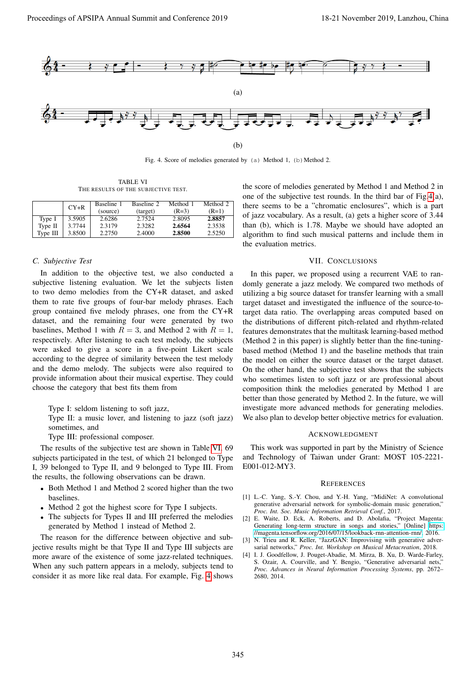

Fig. 4. Score of melodies generated by  $(a)$  Method 1,  $(b)$  Method 2.

TABLE VI THE RESULTS OF THE SUBJECTIVE TEST.

|          | $CY+R$ | Baseline 1<br>(source) | Baseline 2<br>(target) | Method 1<br>$(R=3)$ | Method 2<br>$(R=1)$ |
|----------|--------|------------------------|------------------------|---------------------|---------------------|
| Type I   | 3.5905 | 2.6286                 | 2.7524                 | 2.8095              | 2.8857              |
| Type II  | 3.7744 | 2.3179                 | 2.3282                 | 2.6564              | 2.3538              |
| Type III | 3.8500 | 2.2750                 | 2.4000                 | 2.8500              | 2.5250              |

## *C. Subjective Test*

In addition to the objective test, we also conducted a subjective listening evaluation. We let the subjects listen to two demo melodies from the CY+R dataset, and asked them to rate five groups of four-bar melody phrases. Each group contained five melody phrases, one from the CY+R dataset, and the remaining four were generated by two baselines, Method 1 with  $R = 3$ , and Method 2 with  $R = 1$ , respectively. After listening to each test melody, the subjects were asked to give a score in a five-point Likert scale according to the degree of similarity between the test melody and the demo melody. The subjects were also required to provide information about their musical expertise. They could choose the category that best fits them from

Type I: seldom listening to soft jazz,

Type II: a music lover, and listening to jazz (soft jazz) sometimes, and

Type III: professional composer.

The results of the subjective test are shown in Table VI. 69 subjects participated in the test, of which 21 belonged to Type I, 39 belonged to Type II, and 9 belonged to Type III. From the results, the following observations can be drawn.

- Both Method 1 and Method 2 scored higher than the two baselines.
- Method 2 got the highest score for Type I subjects.
- The subjects for Types II and III preferred the melodies generated by Method 1 instead of Method 2.

The reason for the difference between objective and subjective results might be that Type II and Type III subjects are more aware of the existence of some jazz-related techniques. When any such pattern appears in a melody, subjects tend to consider it as more like real data. For example, Fig. 4 shows the score of melodies generated by Method 1 and Method 2 in one of the subjective test rounds. In the third bar of Fig.4(a), there seems to be a "chromatic enclosures", which is a part of jazz vocabulary. As a result, (a) gets a higher score of 3.44 than (b), which is 1.78. Maybe we should have adopted an algorithm to find such musical patterns and include them in the evaluation metrics.

# VII. CONCLUSIONS

In this paper, we proposed using a recurrent VAE to randomly generate a jazz melody. We compared two methods of utilizing a big source dataset for transfer learning with a small target dataset and investigated the influence of the source-totarget data ratio. The overlapping areas computed based on the distributions of different pitch-related and rhythm-related features demonstrates that the multitask learning-based method (Method 2 in this paper) is slightly better than the fine-tuningbased method (Method 1) and the baseline methods that train the model on either the source dataset or the target dataset. On the other hand, the subjective test shows that the subjects who sometimes listen to soft jazz or are professional about composition think the melodies generated by Method 1 are better than those generated by Method 2. In the future, we will investigate more advanced methods for generating melodies. We also plan to develop better objective metrics for evaluation.

#### ACKNOWLEDGMENT

This work was supported in part by the Ministry of Science and Technology of Taiwan under Grant: MOST 105-2221- E001-012-MY3.

#### **REFERENCES**

- [1] L.-C. Yang, S.-Y. Chou, and Y.-H. Yang, "MidiNet: A convolutional generative adversarial network for symbolic-domain music generation," *Proc. Int. Soc. Music Information Retrieval Conf.*, 2017.
- [2] E. Waite, D. Eck, A. Roberts, and D. Abolafia, "Project Magenta: Generating long-term structure in songs and stories," [Online] https: //magenta.tensorflow.org/2016/07/15/lookback-rnn-attention-rnn/, 2016.
- [3] N. Trieu and R. Keller, "JazzGAN: Improvising with generative adversarial networks," *Proc. Int. Workshop on Musical Metacreation*, 2018.
- [4] I. J. Goodfellow, J. Pouget-Abadie, M. Mirza, B. Xu, D. Warde-Farley, S. Ozair, A. Courville, and Y. Bengio, "Generative adversarial nets," *Proc. Advances in Neural Information Processing Systems*, pp. 2672– 2680, 2014.